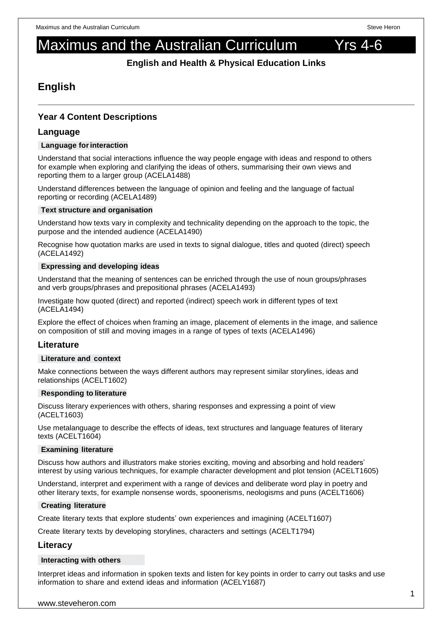# Maximus and the Australian Curriculum Yrs 4-6

**English and Health & Physical Education Links**

# **English**

# **Year 4 Content Descriptions**

## **Language**

#### **Language forinteraction**

Understand that social interactions influence the way people engage with ideas and respond to others for example when exploring and clarifying the ideas of others, summarising their own views and reporting them to a larger group (ACELA1488)

Understand differences between the language of opinion and feeling and the language of factual reporting or recording (ACELA1489)

#### **Text structure and organisation**

Understand how texts vary in complexity and technicality depending on the approach to the topic, the purpose and the intended audience (ACELA1490)

Recognise how quotation marks are used in texts to signal dialogue, titles and quoted (direct) speech (ACELA1492)

#### **Expressing and developing ideas**

Understand that the meaning of sentences can be enriched through the use of noun groups/phrases and verb groups/phrases and prepositional phrases (ACELA1493)

Investigate how quoted (direct) and reported (indirect) speech work in different types of text (ACELA1494)

Explore the effect of choices when framing an image, placement of elements in the image, and salience on composition of still and moving images in a range of types of texts (ACELA1496)

# **Literature**

#### **Literature and context**

Make connections between the ways different authors may represent similar storylines, ideas and relationships (ACELT1602)

#### **Responding to literature**

Discuss literary experiences with others, sharing responses and expressing a point of view (ACELT1603)

Use metalanguage to describe the effects of ideas, text structures and language features of literary texts (ACELT1604)

#### **Examining literature**

Discuss how authors and illustrators make stories exciting, moving and absorbing and hold readers' interest by using various techniques, for example character development and plot tension (ACELT1605)

Understand, interpret and experiment with a range of devices and deliberate word play in poetry and other literary texts, for example nonsense words, spoonerisms, neologisms and puns (ACELT1606)

#### **Creating literature**

Create literary texts that explore students' own experiences and imagining (ACELT1607)

Create literary texts by developing storylines, characters and settings (ACELT1794)

#### **Literacy**

#### **Interacting with others**

Interpret ideas and information in spoken texts and listen for key points in order to carry out tasks and use information to share and extend ideas and information (ACELY1687)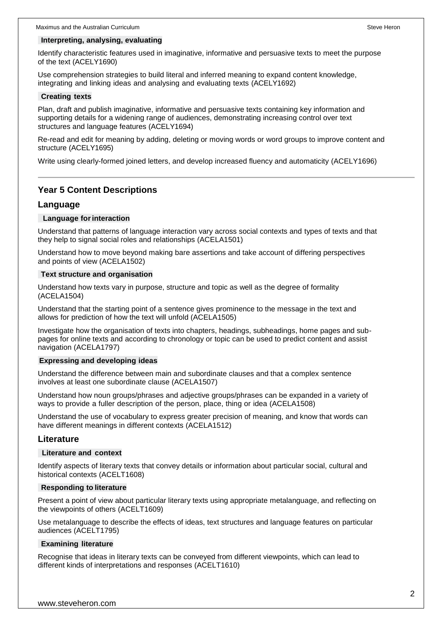#### **Interpreting, analysing, evaluating**

Identify characteristic features used in imaginative, informative and persuasive texts to meet the purpose of the text (ACELY1690)

Use comprehension strategies to build literal and inferred meaning to expand content knowledge, integrating and linking ideas and analysing and evaluating texts (ACELY1692)

#### **Creating texts**

Plan, draft and publish imaginative, informative and persuasive texts containing key information and supporting details for a widening range of audiences, demonstrating increasing control over text structures and language features (ACELY1694)

Re-read and edit for meaning by adding, deleting or moving words or word groups to improve content and structure (ACELY1695)

Write using clearly-formed joined letters, and develop increased fluency and automaticity (ACELY1696)

# **Year 5 Content Descriptions**

#### **Language**

#### **Language for interaction**

Understand that patterns of language interaction vary across social contexts and types of texts and that they help to signal social roles and relationships (ACELA1501)

Understand how to move beyond making bare assertions and take account of differing perspectives and points of view (ACELA1502)

#### **Text structure and organisation**

Understand how texts vary in purpose, structure and topic as well as the degree of formality (ACELA1504)

Understand that the starting point of a sentence gives prominence to the message in the text and allows for prediction of how the text will unfold (ACELA1505)

Investigate how the organisation of texts into chapters, headings, subheadings, home pages and subpages for online texts and according to chronology or topic can be used to predict content and assist navigation (ACELA1797)

#### **Expressing and developing ideas**

Understand the difference between main and subordinate clauses and that a complex sentence involves at least one subordinate clause (ACELA1507)

Understand how noun groups/phrases and adjective groups/phrases can be expanded in a variety of ways to provide a fuller description of the person, place, thing or idea (ACELA1508)

Understand the use of vocabulary to express greater precision of meaning, and know that words can have different meanings in different contexts (ACELA1512)

#### **Literature**

#### **Literature and context**

Identify aspects of literary texts that convey details or information about particular social, cultural and historical contexts (ACELT1608)

#### **Responding to literature**

Present a point of view about particular literary texts using appropriate metalanguage, and reflecting on the viewpoints of others (ACELT1609)

Use metalanguage to describe the effects of ideas, text structures and language features on particular audiences (ACELT1795)

#### **Examining literature**

Recognise that ideas in literary texts can be conveyed from different viewpoints, which can lead to different kinds of interpretations and responses (ACELT1610)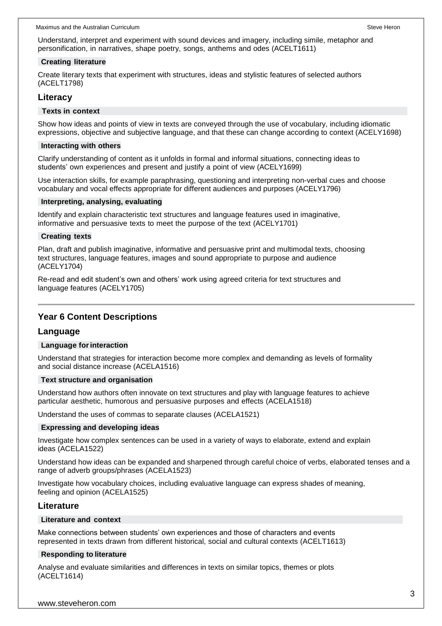Understand, interpret and experiment with sound devices and imagery, including simile, metaphor and personification, in narratives, shape poetry, songs, anthems and odes (ACELT1611)

#### **Creating literature**

Create literary texts that experiment with structures, ideas and stylistic features of selected authors (ACELT1798)

# **Literacy**

#### **Texts in context**

Show how ideas and points of view in texts are conveyed through the use of vocabulary, including idiomatic expressions, objective and subjective language, and that these can change according to context (ACELY1698)

#### **Interacting with others**

Clarify understanding of content as it unfolds in formal and informal situations, connecting ideas to students' own experiences and present and justify a point of view (ACELY1699)

Use interaction skills, for example paraphrasing, questioning and interpreting non-verbal cues and choose vocabulary and vocal effects appropriate for different audiences and purposes (ACELY1796)

#### **Interpreting, analysing, evaluating**

Identify and explain characteristic text structures and language features used in imaginative, informative and persuasive texts to meet the purpose of the text (ACELY1701)

#### **Creating texts**

Plan, draft and publish imaginative, informative and persuasive print and multimodal texts, choosing text structures, language features, images and sound appropriate to purpose and audience (ACELY1704)

Re-read and edit student's own and others' work using agreed criteria for text structures and language features (ACELY1705)

# **Year 6 Content Descriptions**

# **Language**

#### **Language forinteraction**

Understand that strategies for interaction become more complex and demanding as levels of formality and social distance increase (ACELA1516)

#### **Text structure and organisation**

Understand how authors often innovate on text structures and play with language features to achieve particular aesthetic, humorous and persuasive purposes and effects (ACELA1518)

Understand the uses of commas to separate clauses (ACELA1521)

#### **Expressing and developing ideas**

Investigate how complex sentences can be used in a variety of ways to elaborate, extend and explain ideas (ACELA1522)

Understand how ideas can be expanded and sharpened through careful choice of verbs, elaborated tenses and a range of adverb groups/phrases (ACELA1523)

Investigate how vocabulary choices, including evaluative language can express shades of meaning, feeling and opinion (ACELA1525)

#### **Literature**

#### **Literature and context**

Make connections between students' own experiences and those of characters and events represented in texts drawn from different historical, social and cultural contexts (ACELT1613)

#### **Responding to literature**

Analyse and evaluate similarities and differences in texts on similar topics, themes or plots (ACELT1614)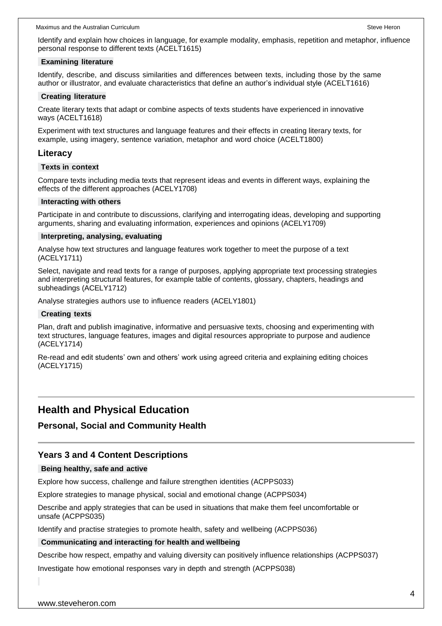Identify and explain how choices in language, for example modality, emphasis, repetition and metaphor, influence personal response to different texts (ACELT1615)

#### **Examining literature**

Identify, describe, and discuss similarities and differences between texts, including those by the same author or illustrator, and evaluate characteristics that define an author's individual style (ACELT1616)

#### **Creating literature**

Create literary texts that adapt or combine aspects of texts students have experienced in innovative ways (ACELT1618)

Experiment with text structures and language features and their effects in creating literary texts, for example, using imagery, sentence variation, metaphor and word choice (ACELT1800)

#### **Literacy**

#### **Texts in context**

Compare texts including media texts that represent ideas and events in different ways, explaining the effects of the different approaches (ACELY1708)

#### **Interacting with others**

Participate in and contribute to discussions, clarifying and interrogating ideas, developing and supporting arguments, sharing and evaluating information, experiences and opinions (ACELY1709)

#### **Interpreting, analysing, evaluating**

Analyse how text structures and language features work together to meet the purpose of a text (ACELY1711)

Select, navigate and read texts for a range of purposes, applying appropriate text processing strategies and interpreting structural features, for example table of contents, glossary, chapters, headings and subheadings (ACELY1712)

Analyse strategies authors use to influence readers (ACELY1801)

#### **Creating texts**

Plan, draft and publish imaginative, informative and persuasive texts, choosing and experimenting with text structures, language features, images and digital resources appropriate to purpose and audience (ACELY1714)

Re-read and edit students' own and others' work using agreed criteria and explaining editing choices (ACELY1715)

# **Health and Physical Education**

#### **Personal, Social and Community Health**

#### **Years 3 and 4 Content Descriptions**

#### **Being healthy, safe and active**

Explore how success, challenge and failure strengthen identities (ACPPS033)

Explore strategies to manage physical, social and emotional change (ACPPS034)

Describe and apply strategies that can be used in situations that make them feel uncomfortable or unsafe (ACPPS035)

Identify and practise strategies to promote health, safety and wellbeing (ACPPS036)

#### **Communicating and interacting for health and wellbeing**

Describe how respect, empathy and valuing diversity can positively influence relationships (ACPPS037)

Investigate how emotional responses vary in depth and strength (ACPPS038)